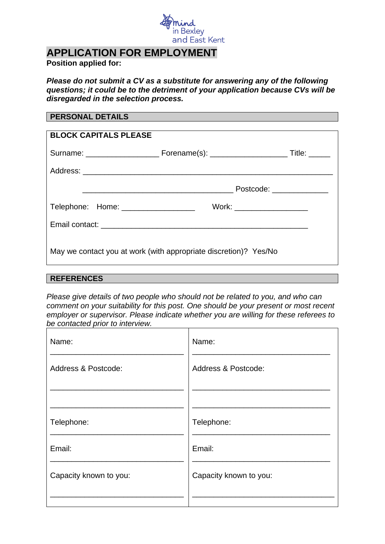

# **APPLICATION FOR EMPLOYMENT**

### **Position applied for:**

*Please do not submit a CV as a substitute for answering any of the following questions; it could be to the detriment of your application because CVs will be disregarded in the selection process.*

#### **PERSONAL DETAILS**

| <b>BLOCK CAPITALS PLEASE</b>                                     |                                               |                          |  |  |  |
|------------------------------------------------------------------|-----------------------------------------------|--------------------------|--|--|--|
|                                                                  |                                               |                          |  |  |  |
|                                                                  |                                               |                          |  |  |  |
|                                                                  | <u> 2000 - Andrea Andrew Maria (h. 1878).</u> | Postcode: ______________ |  |  |  |
| Telephone: Home: ___________________                             | Work: ____________________                    |                          |  |  |  |
|                                                                  |                                               |                          |  |  |  |
| May we contact you at work (with appropriate discretion)? Yes/No |                                               |                          |  |  |  |

#### **REFERENCES**

*Please give details of two people who should not be related to you, and who can comment on your suitability for this post. One should be your present or most recent employer or supervisor. Please indicate whether you are willing for these referees to be contacted prior to interview.*

| Name:                  | Name:                  |
|------------------------|------------------------|
| Address & Postcode:    | Address & Postcode:    |
|                        |                        |
| Telephone:             | Telephone:             |
| Email:                 | Email:                 |
| Capacity known to you: | Capacity known to you: |
|                        |                        |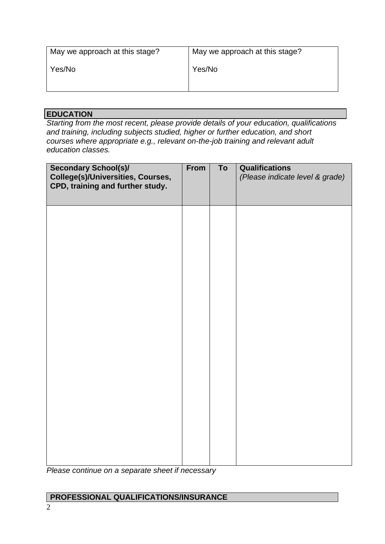| May we approach at this stage? | May we approach at this stage? |  |  |  |  |
|--------------------------------|--------------------------------|--|--|--|--|
| Yes/No                         | Yes/No                         |  |  |  |  |
|                                |                                |  |  |  |  |

# **EDUCATION**

*Starting from the most recent, please provide details of your education, qualifications and training, including subjects studied, higher or further education, and short courses where appropriate e.g., relevant on-the-job training and relevant adult education classes.*

| <b>Secondary School(s)/</b><br>College(s)/Universities, Courses,<br>CPD, training and further study. | From | To | <b>Qualifications</b><br>(Please indicate level & grade) |
|------------------------------------------------------------------------------------------------------|------|----|----------------------------------------------------------|
|                                                                                                      |      |    |                                                          |
|                                                                                                      |      |    |                                                          |
|                                                                                                      |      |    |                                                          |
|                                                                                                      |      |    |                                                          |
|                                                                                                      |      |    |                                                          |
|                                                                                                      |      |    |                                                          |

*Please continue on a separate sheet if necessary*

# **PROFESSIONAL QUALIFICATIONS/INSURANCE**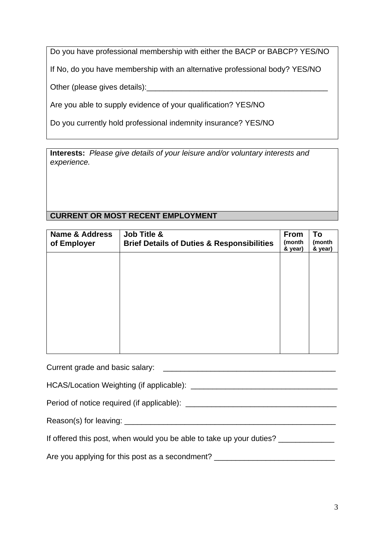Do you have professional membership with either the BACP or BABCP? YES/NO

If No, do you have membership with an alternative professional body? YES/NO

Other (please gives details):

Are you able to supply evidence of your qualification? YES/NO

Do you currently hold professional indemnity insurance? YES/NO

**Interests:** *Please give details of your leisure and/or voluntary interests and experience.*

# **CURRENT OR MOST RECENT EMPLOYMENT**

| <b>Name &amp; Address</b><br>of Employer | Job Title &<br><b>Brief Details of Duties &amp; Responsibilities</b> | <b>From</b><br>(month<br>& year) | To<br>(month<br>& year) |
|------------------------------------------|----------------------------------------------------------------------|----------------------------------|-------------------------|
|                                          |                                                                      |                                  |                         |
|                                          |                                                                      |                                  |                         |
|                                          |                                                                      |                                  |                         |
|                                          |                                                                      |                                  |                         |

Current grade and basic salary: \_\_\_\_\_\_\_\_\_\_\_\_\_\_\_\_\_\_\_\_\_\_\_\_\_\_\_\_\_\_\_\_\_\_\_\_\_\_\_\_

HCAS/Location Weighting (if applicable): \_\_\_\_\_\_\_\_\_\_\_\_\_\_\_\_\_\_\_\_\_\_\_\_\_\_\_\_\_\_\_\_\_\_

Period of notice required (if applicable): \_\_\_\_\_\_\_\_\_\_\_\_\_\_\_\_\_\_\_\_\_\_\_\_\_\_\_\_\_\_\_\_\_\_\_

Reason(s) for leaving: \_\_\_\_\_\_\_\_\_\_\_\_\_\_\_\_\_\_\_\_\_\_\_\_\_\_\_\_\_\_\_\_\_\_\_\_\_\_\_\_\_\_\_\_\_\_\_\_\_

If offered this post, when would you be able to take up your duties? \_\_\_\_\_\_\_\_\_\_\_

Are you applying for this post as a secondment? \_\_\_\_\_\_\_\_\_\_\_\_\_\_\_\_\_\_\_\_\_\_\_\_\_\_\_\_\_\_\_\_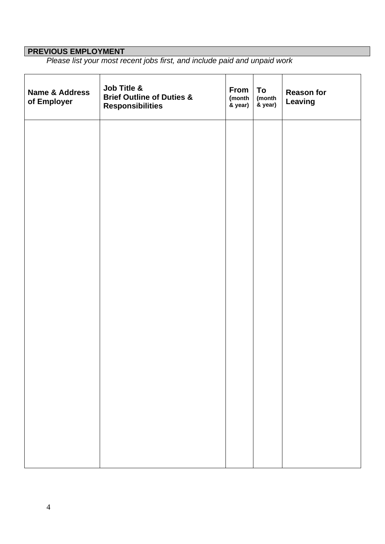#### **PREVIOUS EMPLOYMENT**

*Please list your most recent jobs first, and include paid and unpaid work*

| Name & Address<br>of Employer | Job Title &<br><b>Brief Outline of Duties &amp;</b><br><b>Responsibilities</b> | From<br>(month<br>& year) | To<br>(month<br>& year) | <b>Reason for</b><br><b>Leaving</b> |
|-------------------------------|--------------------------------------------------------------------------------|---------------------------|-------------------------|-------------------------------------|
|                               |                                                                                |                           |                         |                                     |
|                               |                                                                                |                           |                         |                                     |
|                               |                                                                                |                           |                         |                                     |
|                               |                                                                                |                           |                         |                                     |
|                               |                                                                                |                           |                         |                                     |
|                               |                                                                                |                           |                         |                                     |
|                               |                                                                                |                           |                         |                                     |
|                               |                                                                                |                           |                         |                                     |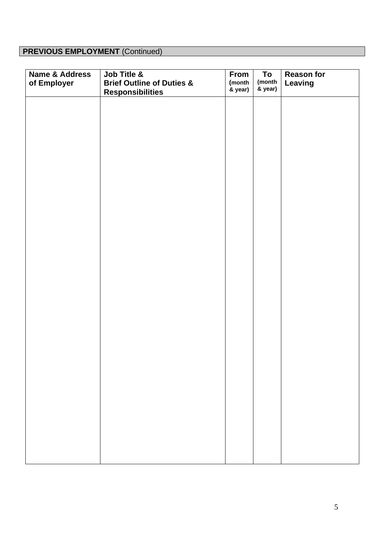# **PREVIOUS EMPLOYMENT** (Continued)

| <b>Name &amp; Address</b><br>of Employer | Job Title &<br><b>Brief Outline of Duties &amp;</b><br><b>Responsibilities</b> | From<br>(month<br>& year) | To<br>(month<br>& year) | <b>Reason for</b><br>Leaving |
|------------------------------------------|--------------------------------------------------------------------------------|---------------------------|-------------------------|------------------------------|
|                                          |                                                                                |                           |                         |                              |
|                                          |                                                                                |                           |                         |                              |
|                                          |                                                                                |                           |                         |                              |
|                                          |                                                                                |                           |                         |                              |
|                                          |                                                                                |                           |                         |                              |
|                                          |                                                                                |                           |                         |                              |
|                                          |                                                                                |                           |                         |                              |
|                                          |                                                                                |                           |                         |                              |
|                                          |                                                                                |                           |                         |                              |
|                                          |                                                                                |                           |                         |                              |
|                                          |                                                                                |                           |                         |                              |
|                                          |                                                                                |                           |                         |                              |
|                                          |                                                                                |                           |                         |                              |
|                                          |                                                                                |                           |                         |                              |
|                                          |                                                                                |                           |                         |                              |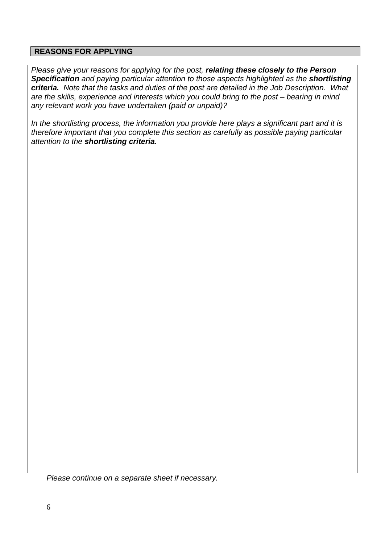### **REASONS FOR APPLYING**

*Please give your reasons for applying for the post, relating these closely to the Person Specification and paying particular attention to those aspects highlighted as the shortlisting criteria. Note that the tasks and duties of the post are detailed in the Job Description. What are the skills, experience and interests which you could bring to the post – bearing in mind any relevant work you have undertaken (paid or unpaid)?*

*In the shortlisting process, the information you provide here plays a significant part and it is therefore important that you complete this section as carefully as possible paying particular attention to the shortlisting criteria.*

*Please continue on a separate sheet if necessary.*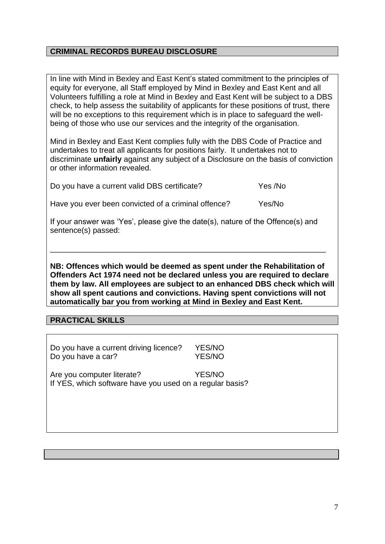## **CRIMINAL RECORDS BUREAU DISCLOSURE**

In line with Mind in Bexley and East Kent's stated commitment to the principles of equity for everyone, all Staff employed by Mind in Bexley and East Kent and all Volunteers fulfilling a role at Mind in Bexley and East Kent will be subject to a DBS check, to help assess the suitability of applicants for these positions of trust, there will be no exceptions to this requirement which is in place to safeguard the wellbeing of those who use our services and the integrity of the organisation.

Mind in Bexley and East Kent complies fully with the DBS Code of Practice and undertakes to treat all applicants for positions fairly. It undertakes not to discriminate **unfairly** against any subject of a Disclosure on the basis of conviction or other information revealed.

Do you have a current valid DBS certificate? The Ves /No

Have you ever been convicted of a criminal offence? Yes/No

If your answer was 'Yes', please give the date(s), nature of the Offence(s) and sentence(s) passed:

\_\_\_\_\_\_\_\_\_\_\_\_\_\_\_\_\_\_\_\_\_\_\_\_\_\_\_\_\_\_\_\_\_\_\_\_\_\_\_\_\_\_\_\_\_\_\_\_\_\_\_\_\_\_\_\_\_\_\_\_\_\_\_\_

**NB: Offences which would be deemed as spent under the Rehabilitation of Offenders Act 1974 need not be declared unless you are required to declare them by law. All employees are subject to an enhanced DBS check which will show all spent cautions and convictions. Having spent convictions will not automatically bar you from working at Mind in Bexley and East Kent.**

#### **PRACTICAL SKILLS**

Do you have a current driving licence? YES/NO Do you have a car? YES/NO

Are you computer literate? YES/NO If YES, which software have you used on a regular basis?